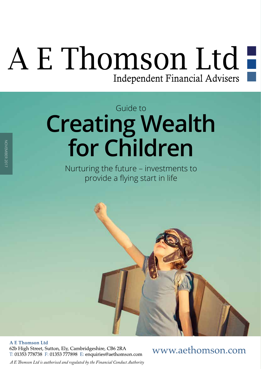# A E Thomson Ltd

### **Creating Wealth for Children** Guide to

Nurturing the future – investments to provide a flying start in life



**A E Thomson Ltd** 

62b High Street, Sutton, Ely, Cambridgeshire, CB6 2RA T: 01353 778738 F: 01353 777898 E: enquiries@aethomson.com

www.aethomson.com

*A E Tomson Ltd is authorised and regulated by the Financial Conduct Authority*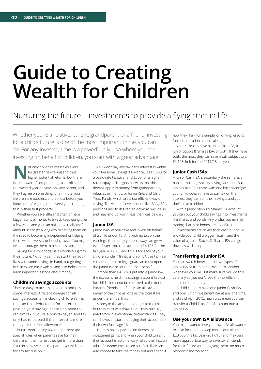## **Guide to Creating Wealth for Children**

#### Nurturing the future – investments to provide a flying start in life

Whether you're a relative, parent, grandparent or a friend, investing for a child's future is one of the most important things you can do. For any investor, time is a powerful ally – so where you are investing on behalf of children, you start with a great advantage.

**Not** only do long timescales allow<br>
for greater risk-taking and thus<br>
higher potential returns, but there<br>
is the power of compounding as profits are for greater risk-taking and thus is the power of compounding, as profits are re-invested year on year. Ask any parent, and they'll agree on one thing: one minute your children are toddlers, and almost before you know it they're going to university or planning to buy their first property.

Whether you save little and often or have bigger sums of money to invest, keep going over a few years and you can build up a really useful amount. It can go a long way to setting them on the road to becoming independent or helping them with university or housing costs. You might even encourage them to become savers.

Saving for a child today is a wonderful gift for their future. Not only can they start their adult lives with some savings in hand, but getting kids involved early with saving also helps them learn important lessons about money.

#### **Children's savings accounts**

They're easy to access, save into and pay some interest. A recent change for all savings accounts – including children's – is that tax isn't deducted before interest is paid on your savings. There's no need to reclaim tax if you're a non-taxpayer, and tax only has to be paid if the interest is more than your tax-free allowances.

But it's worth being aware that there are special rules when parents save for their children. If the interest they get is more than £100 in a tax year, as the parent you're liable for any tax due on it.

You won't pay any tax if the interest is within your Personal Savings Allowance. It's £1,000 for a basic-rate taxpayer and £500 for a higherrate taxpayer. The good news is that this doesn't apply to money from grandparents, relatives or friends, or Junior ISAs and Child Trust Funds, which are a tax-efficient way of saving. The value of investments like ISAs, JISAs, pensions and trusts can go down as well as up and may end up worth less than was paid in.

#### **Junior ISA**

Junior ISAs let you save and invest on behalf of a child under 18. And with no tax on the earnings, the money you put away can grow even faster. You can save up to £4,128 for the tax year 2017/18, and this is for each of your children under 18 into a Junior ISA this tax year. A child's parent or legal guardian must open the Junior ISA account on their behalf.

If more than £4,128 is put into a Junior ISA, the excess is held in a savings account in trust for child – it cannot be returned to the donor. Parents, friends and family can all save on behalf of the child as long as the total stays under the annual limit.

Money in the account belongs to the child, but they can't withdraw it until they turn 18, apart from in exceptional circumstances. They can, however, start managing their account on their own from age 16.

There is no tax payable on interest or investment gains, and when your child turns 18, their account is automatically rolled over into an adult ISA (sometimes called a 'NISA'). They can also choose to take the money out and spend it how they like – for example, on driving lessons, further education or job training.

Your child can have a Junior Cash ISA, a Junior Stocks & Shares ISA, or both. If they have both, the most they can save is still subject to a £4,128 limit for the 2017/18 tax year.

#### **Junior Cash ISAs**

A Junior Cash ISA is essentially the same as a bank or building society savings account. But Junior Cash ISAs come with one big advantage: your child doesn't have to pay tax on the interest they earn on their savings, and you don't have to either.

With a Junior Stocks & Shares ISA account, you can put your child's savings into investments like shares and bonds. Any profits you earn by trading shares or bonds are tax-efficient.

Investments are riskier than cash but could provide your child a bigger return, and the value of a Junior Stocks & Shares ISA can go down as well as up.

#### **Transferring a Junior ISA**

You can switch between the two types of Junior ISA or from one provider to another whenever you like. But make sure you do this carefully so you don't lose the tax-efficient status on the money.

A child can only have one Junior Cash ISA and one Junior Investment ISA at any one time, and as of April 2015, new rules mean you can transfer a Child Trust Fund account into a Junior ISA.

#### **Use your own ISA allowance**

You might want to use your own ISA allowance to save for them to keep more control. It's £20,000 this tax year (2017/18) and may be a more appropriate way to save tax-efficiently for their future without giving them too much responsibility too soon.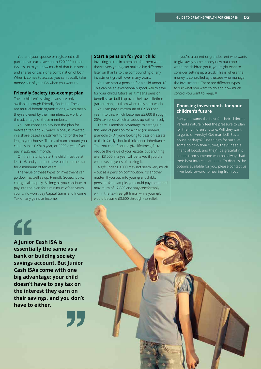You and your spouse or registered civil partner can each save up to £20,000 into an ISA. It's up to you how much of that is in stocks and shares or cash, or a combination of both. When it comes to access, you can usually take money out of your ISA when you want to.

#### **Friendly Society tax-exempt plan**

These children's savings plans are only available through Friendly Societies. These are mutual benefit organisations, which mean they're owned by their members to work for the advantage of those members.

You can choose to pay into the plan for between ten and 25 years. Money is invested in a share-based investment fund for the term length you choose. The maximum amount you can pay in is £270 a year, or £300 a year if you pay in £25 each month.

On the maturity date, the child must be at least 16, and you must have paid into the plan for a minimum of ten years.

The value of these types of investment can go down as well as up. Friendly Society policy charges also apply. As long as you continue to pay into the plan for a minimum of ten years, your child won't pay Capital Gains and Income Tax on any gains or income.

#### **Start a pension for your child**

Investing a little in a pension for them when they're very young can make a big difference later on thanks to the compounding of any investment growth over many years.

You can start a pension for a child under 18. This can be an exceptionally good way to save for your child's future, as it means pension benefts can build up over their own lifetime (rather than just from when they start work).

You can pay a maximum of £2,880 per year into this, which becomes £3,600 through 20% tax relief, which all adds up rather nicely.

There is another advantage to setting up this kind of pension for a child (or, indeed, grandchild). Anyone looking to pass on assets to their family should think about Inheritance Tax. You can of course give lifetime gifts to reduce the value of your estate, but anything over £3,000 in a year will be taxed if you die within seven years of making it.

A gift under £3,000 may not seem very much – but as a pension contribution, it's another matter. If you pay into your grandchild's pension, for example, you could pay the annual maximum of £2,880 and stay comfortably within the tax-free gift limits, while your gift would become £3,600 through tax relief.

If you're a parent or grandparent who wants to give away some money now but control when the children get it, you might want to consider setting up a trust. This is where the money is controlled by trustees who manage the investments. There are different types to suit what you want to do and how much control you want to keep.  $\blacksquare$ 

#### **Choosing investments for your children's future**

Everyone wants the best for their children. Parents naturally feel the pressure to plan for their children's future. Will they want to go to university? Get married? Buy a house perhaps? One thing's for sure: at some point in their future, they'll need a fnancial boost, and they'll be grateful if it comes from someone who has always had their best interests at heart. To discuss the options available for you, please contact us – we look forward to hearing from you.

### "

**A Junior Cash ISA is essentially the same as a bank or building society savings account. But Junior Cash ISAs come with one big advantage: your child doesn't have to pay tax on the interest they earn on their savings, and you don't have to either.**